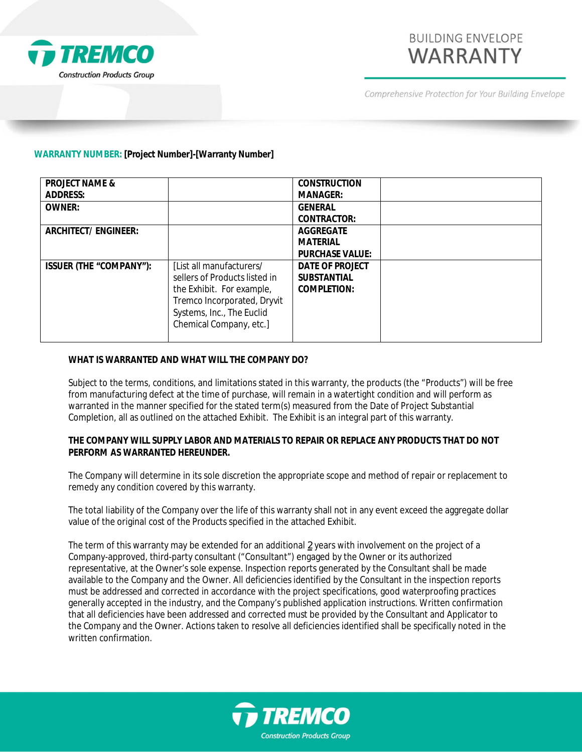

# **BUILDING ENVELOPE WARRANTY**

Comprehensive Protection for Your Building Envelope

## **WARRANTY NUMBER: [Project Number]-[Warranty Number]**

| <b>PROJECT NAME &amp;</b> |                               | <b>CONSTRUCTION</b> |  |
|---------------------------|-------------------------------|---------------------|--|
| ADDRESS:                  |                               | MANAGER:            |  |
| OWNER:                    |                               | <b>GENERAL</b>      |  |
|                           |                               | CONTRACTOR:         |  |
| ARCHITECT/ENGINEER:       |                               | AGGREGATE           |  |
|                           |                               | MATERIAL            |  |
|                           |                               | PURCHASE VALUE:     |  |
| ISSUER (THE "COMPANY"):   | [List all manufacturers/      | DATE OF PROJECT     |  |
|                           | sellers of Products listed in | <b>SUBSTANTIAL</b>  |  |
|                           | the Exhibit. For example,     | COMPLETION:         |  |
|                           | Tremco Incorporated, Dryvit   |                     |  |
|                           | Systems, Inc., The Euclid     |                     |  |
|                           | Chemical Company, etc.]       |                     |  |
|                           |                               |                     |  |

## **WHAT IS WARRANTED AND WHAT WILL THE COMPANY DO?**

Subject to the terms, conditions, and limitations stated in this warranty, the products (the "Products") will be free from manufacturing defect at the time of purchase, will remain in a watertight condition and will perform as warranted in the manner specified for the stated term(s) measured from the Date of Project Substantial Completion, all as outlined on the attached Exhibit. The Exhibit is an integral part of this warranty.

**THE COMPANY WILL SUPPLY LABOR AND MATERIALS TO REPAIR OR REPLACE ANY PRODUCTS THAT DO NOT PERFORM AS WARRANTED HEREUNDER.**

The Company will determine in its sole discretion the appropriate scope and method of repair or replacement to remedy any condition covered by this warranty.

The total liability of the Company over the life of this warranty shall not in any event exceed the aggregate dollar value of the original cost of the Products specified in the attached Exhibit.

The term of this warranty may be extended for an additional *2* years with involvement on the project of a Company-approved, third-party consultant ("Consultant") engaged by the Owner or its authorized representative, at the Owner's sole expense. Inspection reports generated by the Consultant shall be made available to the Company and the Owner. All deficiencies identified by the Consultant in the inspection reports must be addressed and corrected in accordance with the project specifications, good waterproofing practices generally accepted in the industry, and the Company's published application instructions. Written confirmation that all deficiencies have been addressed and corrected must be provided by the Consultant and Applicator to the Company and the Owner. Actions taken to resolve all deficiencies identified shall be specifically noted in the written confirmation.

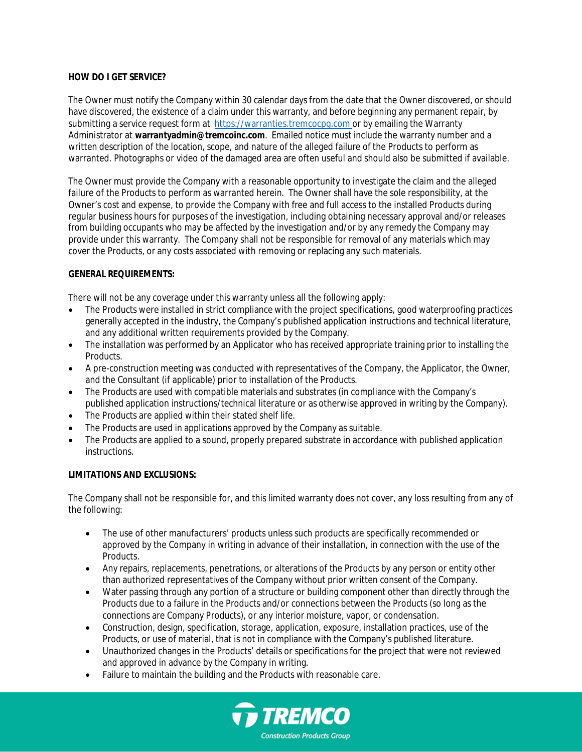## **HOW DO I GET SERVICE?**

The Owner must notify the Company within 30 calendar days from the date that the Owner discovered, or should have discovered, the existence of a claim under this warranty, and before beginning any permanent repair, by submitting a service request form at [https://warranties.tremcocpg.com](https://warranties.tremcocpg.com/) or by emailing the Warranty Administrator at **warrantyadmin@tremcoinc.com**. Emailed notice must include the warranty number and a written description of the location, scope, and nature of the alleged failure of the Products to perform as warranted. Photographs or video of the damaged area are often useful and should also be submitted if available.

The Owner must provide the Company with a reasonable opportunity to investigate the claim and the alleged failure of the Products to perform as warranted herein. The Owner shall have the sole responsibility, at the Owner's cost and expense, to provide the Company with free and full access to the installed Products during regular business hours for purposes of the investigation, including obtaining necessary approval and/or releases from building occupants who may be affected by the investigation and/or by any remedy the Company may provide under this warranty. The Company shall not be responsible for removal of any materials which may cover the Products, or any costs associated with removing or replacing any such materials.

## **GENERAL REQUIREMENTS:**

There will not be any coverage under this warranty unless all the following apply:

- The Products were installed in strict compliance with the project specifications, good waterproofing practices generally accepted in the industry, the Company's published application instructions and technical literature, and any additional written requirements provided by the Company.
- The installation was performed by an Applicator who has received appropriate training prior to installing the Products.
- A pre-construction meeting was conducted with representatives of the Company, the Applicator, the Owner, and the Consultant (if applicable) prior to installation of the Products.
- The Products are used with compatible materials and substrates (in compliance with the Company's published application instructions/technical literature or as otherwise approved in writing by the Company).
- The Products are applied within their stated shelf life.
- The Products are used in applications approved by the Company as suitable.
- The Products are applied to a sound, properly prepared substrate in accordance with published application instructions.

## **LIMITATIONS AND EXCLUSIONS:**

The Company shall not be responsible for, and this limited warranty does not cover, any loss resulting from any of the following:

- The use of other manufacturers' products unless such products are specifically recommended or approved by the Company in writing in advance of their installation, in connection with the use of the Products.
- Any repairs, replacements, penetrations, or alterations of the Products by any person or entity other than authorized representatives of the Company without prior written consent of the Company.
- Water passing through any portion of a structure or building component other than directly through the Products due to a failure in the Products and/or connections between the Products (so long as the connections are Company Products), or any interior moisture, vapor, or condensation.
- Construction, design, specification, storage, application, exposure, installation practices, use of the Products, or use of material, that is not in compliance with the Company's published literature.
- Unauthorized changes in the Products' details or specifications for the project that were not reviewed and approved in advance by the Company in writing.
- Failure to maintain the building and the Products with reasonable care.

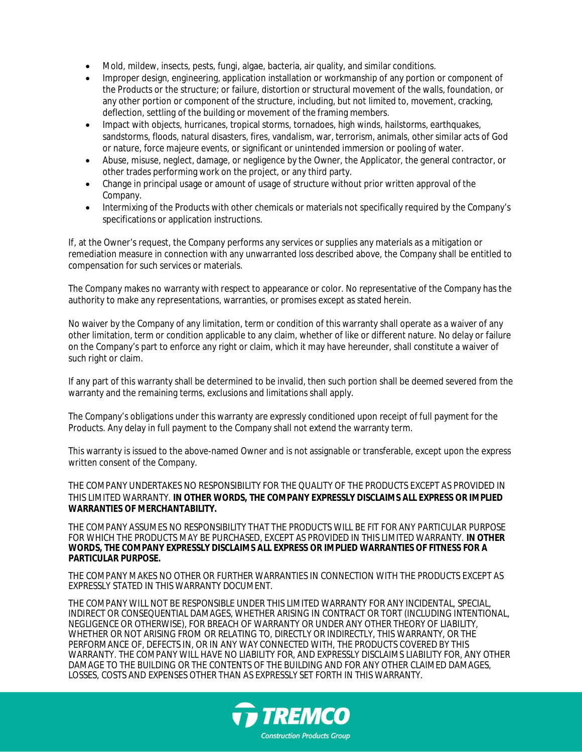- Mold, mildew, insects, pests, fungi, algae, bacteria, air quality, and similar conditions.
- Improper design, engineering, application installation or workmanship of any portion or component of the Products or the structure; or failure, distortion or structural movement of the walls, foundation, or any other portion or component of the structure, including, but not limited to, movement, cracking, deflection, settling of the building or movement of the framing members.
- Impact with objects, hurricanes, tropical storms, tornadoes, high winds, hailstorms, earthquakes, sandstorms, floods, natural disasters, fires, vandalism, war, terrorism, animals, other similar acts of God or nature, force majeure events, or significant or unintended immersion or pooling of water.
- Abuse, misuse, neglect, damage, or negligence by the Owner, the Applicator, the general contractor, or other trades performing work on the project, or any third party.
- Change in principal usage or amount of usage of structure without prior written approval of the Company.
- Intermixing of the Products with other chemicals or materials not specifically required by the Company's specifications or application instructions.

If, at the Owner's request, the Company performs any services or supplies any materials as a mitigation or remediation measure in connection with any unwarranted loss described above, the Company shall be entitled to compensation for such services or materials.

The Company makes no warranty with respect to appearance or color. No representative of the Company has the authority to make any representations, warranties, or promises except as stated herein.

No waiver by the Company of any limitation, term or condition of this warranty shall operate as a waiver of any other limitation, term or condition applicable to any claim, whether of like or different nature. No delay or failure on the Company's part to enforce any right or claim, which it may have hereunder, shall constitute a waiver of such right or claim.

If any part of this warranty shall be determined to be invalid, then such portion shall be deemed severed from the warranty and the remaining terms, exclusions and limitations shall apply.

The Company's obligations under this warranty are expressly conditioned upon receipt of full payment for the Products. Any delay in full payment to the Company shall not extend the warranty term.

This warranty is issued to the above-named Owner and is not assignable or transferable, except upon the express written consent of the Company.

THE COMPANY UNDERTAKES NO RESPONSIBILITY FOR THE QUALITY OF THE PRODUCTS EXCEPT AS PROVIDED IN THIS LIMITED WARRANTY. **IN OTHER WORDS, THE COMPANY EXPRESSLY DISCLAIMS ALL EXPRESS OR IMPLIED WARRANTIES OF MERCHANTABILITY.**

THE COMPANY ASSUMES NO RESPONSIBILITY THAT THE PRODUCTS WILL BE FIT FOR ANY PARTICULAR PURPOSE FOR WHICH THE PRODUCTS MAY BE PURCHASED, EXCEPT AS PROVIDED IN THIS LIMITED WARRANTY. **IN OTHER WORDS, THE COMPANY EXPRESSLY DISCLAIMS ALL EXPRESS OR IMPLIED WARRANTIES OF FITNESS FOR A PARTICULAR PURPOSE.**

THE COMPANY MAKES NO OTHER OR FURTHER WARRANTIES IN CONNECTION WITH THE PRODUCTS EXCEPT AS EXPRESSLY STATED IN THIS WARRANTY DOCUMENT.

THE COMPANY WILL NOT BE RESPONSIBLE UNDER THIS LIMITED WARRANTY FOR ANY INCIDENTAL, SPECIAL, INDIRECT OR CONSEQUENTIAL DAMAGES, WHETHER ARISING IN CONTRACT OR TORT (INCLUDING INTENTIONAL, NEGLIGENCE OR OTHERWISE), FOR BREACH OF WARRANTY OR UNDER ANY OTHER THEORY OF LIABILITY, WHETHER OR NOT ARISING FROM OR RELATING TO, DIRECTLY OR INDIRECTLY, THIS WARRANTY, OR THE PERFORMANCE OF, DEFECTS IN, OR IN ANY WAY CONNECTED WITH, THE PRODUCTS COVERED BY THIS WARRANTY. THE COMPANY WILL HAVE NO LIABILITY FOR, AND EXPRESSLY DISCLAIMS LIABILITY FOR, ANY OTHER DAMAGE TO THE BUILDING OR THE CONTENTS OF THE BUILDING AND FOR ANY OTHER CLAIMED DAMAGES, LOSSES, COSTS AND EXPENSES OTHER THAN AS EXPRESSLY SET FORTH IN THIS WARRANTY.

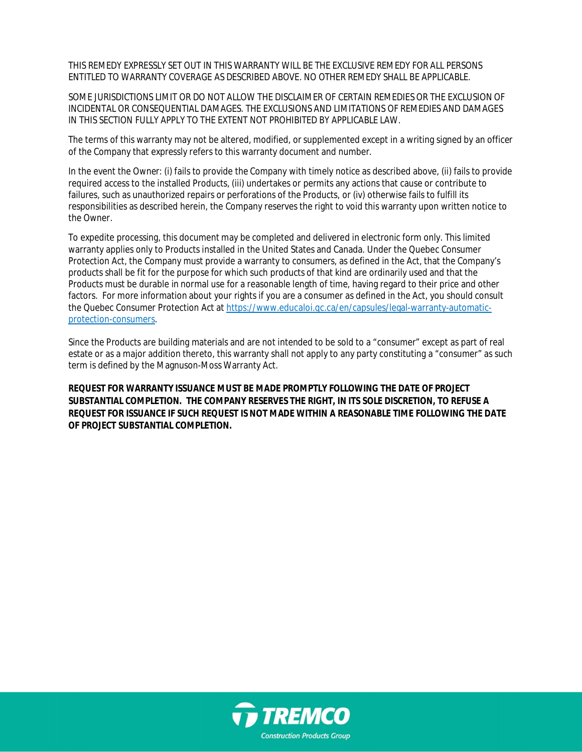THIS REMEDY EXPRESSLY SET OUT IN THIS WARRANTY WILL BE THE EXCLUSIVE REMEDY FOR ALL PERSONS ENTITLED TO WARRANTY COVERAGE AS DESCRIBED ABOVE. NO OTHER REMEDY SHALL BE APPLICABLE.

SOME JURISDICTIONS LIMIT OR DO NOT ALLOW THE DISCLAIMER OF CERTAIN REMEDIES OR THE EXCLUSION OF INCIDENTAL OR CONSEQUENTIAL DAMAGES. THE EXCLUSIONS AND LIMITATIONS OF REMEDIES AND DAMAGES IN THIS SECTION FULLY APPLY TO THE EXTENT NOT PROHIBITED BY APPLICABLE LAW.

The terms of this warranty may not be altered, modified, or supplemented except in a writing signed by an officer of the Company that expressly refers to this warranty document and number.

In the event the Owner: (i) fails to provide the Company with timely notice as described above, (ii) fails to provide required access to the installed Products, (iii) undertakes or permits any actions that cause or contribute to failures, such as unauthorized repairs or perforations of the Products, or (iv) otherwise fails to fulfill its responsibilities as described herein, the Company reserves the right to void this warranty upon written notice to the Owner.

To expedite processing, this document may be completed and delivered in electronic form only. This limited warranty applies only to Products installed in the United States and Canada. Under the Quebec Consumer Protection Act, the Company must provide a warranty to consumers, as defined in the Act, that the Company's products shall be fit for the purpose for which such products of that kind are ordinarily used and that the Products must be durable in normal use for a reasonable length of time, having regard to their price and other factors. For more information about your rights if you are a consumer as defined in the Act, you should consult the Quebec Consumer Protection Act at [https://www.educaloi.qc.ca/en/capsules/legal-warranty-automatic](https://www.educaloi.qc.ca/en/capsules/legal-warranty-automatic-protection-consumers)[protection-consumers.](https://www.educaloi.qc.ca/en/capsules/legal-warranty-automatic-protection-consumers)

Since the Products are building materials and are not intended to be sold to a "consumer" except as part of real estate or as a major addition thereto, this warranty shall not apply to any party constituting a "consumer" as such term is defined by the Magnuson-Moss Warranty Act.

**REQUEST FOR WARRANTY ISSUANCE MUST BE MADE PROMPTLY FOLLOWING THE DATE OF PROJECT SUBSTANTIAL COMPLETION. THE COMPANY RESERVES THE RIGHT, IN ITS SOLE DISCRETION, TO REFUSE A REQUEST FOR ISSUANCE IF SUCH REQUEST IS NOT MADE WITHIN A REASONABLE TIME FOLLOWING THE DATE OF PROJECT SUBSTANTIAL COMPLETION.**